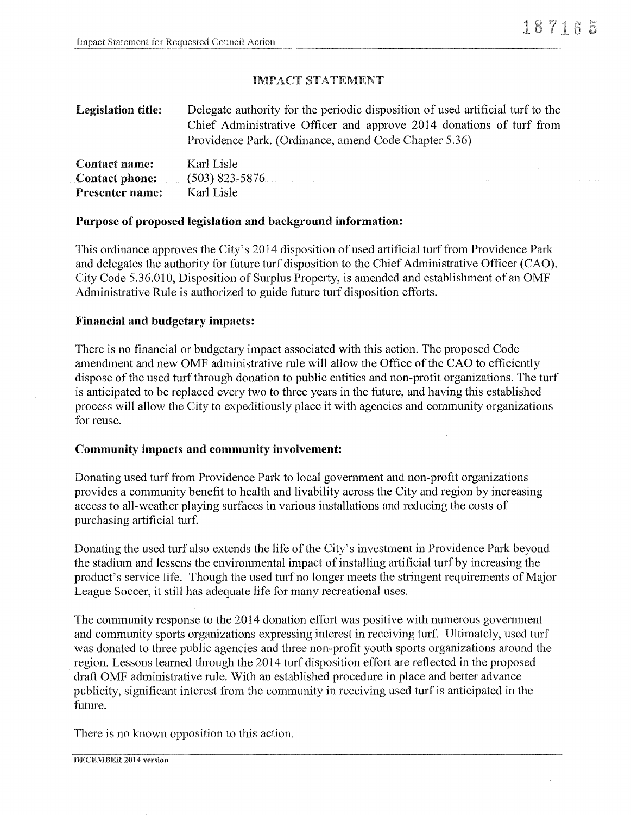### IMPACT STATEMENT

| <b>Legislation title:</b> | Delegate authority for the periodic disposition of used artificial turf to the<br>Chief Administrative Officer and approve 2014 donations of turf from<br>Providence Park. (Ordinance, amend Code Chapter 5.36) |
|---------------------------|-----------------------------------------------------------------------------------------------------------------------------------------------------------------------------------------------------------------|
| <b>Contact name:</b>      | Karl Lisle                                                                                                                                                                                                      |
| Contact phone:            | $(503)$ 823-5876                                                                                                                                                                                                |
| <b>Presenter name:</b>    | Karl Lisle                                                                                                                                                                                                      |

#### Purpose of proposed legislation and background information:

This ordinance approves the City's 2014 disposition of used artificial turf from Providence Park and delegates the authority for future turf disposition to the Chief Administrative Officer (CAO). City Code 5.36.010, Disposition of Surplus Property, is amended and establishment of an OMF Administrative Rule is authorized to guide future turf disposition efforts.

#### Financial and budgetary impacts:

There is no financial or budgetary impact associated with this action. The proposed Code amendment and new OMF administrative rule will allow the Office of the CAO to efficiently dispose of the used turf through donation to public entities and non-profit organizations. The turf is anticipated to be replaced every two to three years in the future, and having this established process will allow the City to expeditiously place it with agencies and community organizations for reuse.

#### Community impacts and community involvement:

Donating used turf from Providence Park to local government and non-profit organizations provides a community benefit to health and livability across the City and region by increasing access to all-weather playing surfaces in various installations and reducing the costs of purchasing artificial turf.

Donating the used turf also extends the life of the City's investment in Providence Park beyond the stadium and lessens the environmental impact of installing artificial turf by increasing the product's service life. Though the used turf no longer meets the stringent requirements of Major League Soccer, it still has adequate life for many recreational uses.

The community response to the 2014 donation effort was positive with numerous government and community sports organizations expressing interest in receiving turf. Ultimately, used turf was donated to three public agencies and three non-profit youth sports organizations around the region. Lessons learned through the 2014 turf disposition effort are reflected in the proposed draft OMF administrative rule. With an established procedure in place and better advance publicity, significant interest from the community in receiving used turf is anticipated in the future.

There is no known opposition to this action.